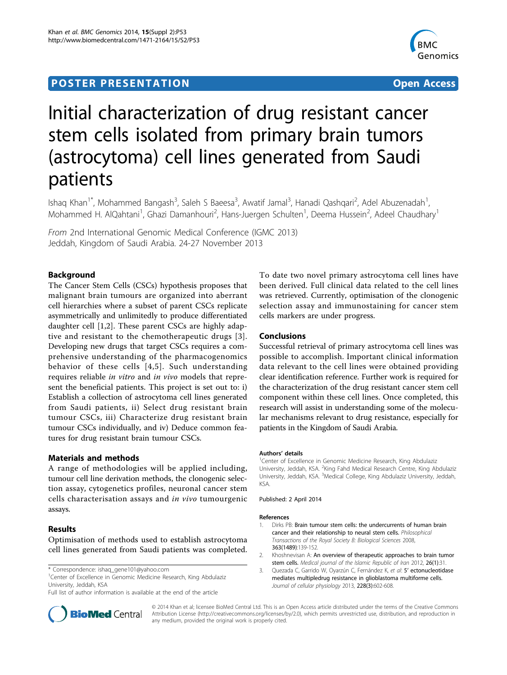# **POSTER PRESENTATION CONSUMING THE SERVICE SERVICE SERVICES**



# Initial characterization of drug resistant cancer stem cells isolated from primary brain tumors (astrocytoma) cell lines generated from Saudi patients

Ishaq Khan<sup>1\*</sup>, Mohammed Bangash<sup>3</sup>, Saleh S Baeesa<sup>3</sup>, Awatif Jamal<sup>3</sup>, Hanadi Qashqari<sup>2</sup>, Adel Abuzenadah<sup>1</sup> , Mohammed H. AlQahtani<sup>1</sup>, Ghazi Damanhouri<sup>2</sup>, Hans-Juergen Schulten<sup>1</sup>, Deema Hussein<sup>2</sup>, Adeel Chaudhary<sup>1</sup>

From 2nd International Genomic Medical Conference (IGMC 2013) Jeddah, Kingdom of Saudi Arabia. 24-27 November 2013

## Background

The Cancer Stem Cells (CSCs) hypothesis proposes that malignant brain tumours are organized into aberrant cell hierarchies where a subset of parent CSCs replicate asymmetrically and unlimitedly to produce differentiated daughter cell [1,2]. These parent CSCs are highly adaptive and resistant to the chemotherapeutic drugs [3]. Developing new drugs that target CSCs requires a comprehensive understanding of the pharmacogenomics behavior of these cells [[4](#page-1-0),[5](#page-1-0)]. Such understanding requires reliable in vitro and in vivo models that represent the beneficial patients. This project is set out to: i) Establish a collection of astrocytoma cell lines generated from Saudi patients, ii) Select drug resistant brain tumour CSCs, iii) Characterize drug resistant brain tumour CSCs individually, and iv) Deduce common features for drug resistant brain tumour CSCs.

## Materials and methods

A range of methodologies will be applied including, tumour cell line derivation methods, the clonogenic selection assay, cytogenetics profiles, neuronal cancer stem cells characterisation assays and in vivo tumourgenic assays.

#### Results

Optimisation of methods used to establish astrocytoma cell lines generated from Saudi patients was completed.

<sup>1</sup>Center of Excellence in Genomic Medicine Research, King Abdulaziz University, Jeddah, KSA

Full list of author information is available at the end of the article



To date two novel primary astrocytoma cell lines have been derived. Full clinical data related to the cell lines was retrieved. Currently, optimisation of the clonogenic selection assay and immunostaining for cancer stem cells markers are under progress.

#### Conclusions

Successful retrieval of primary astrocytoma cell lines was possible to accomplish. Important clinical information data relevant to the cell lines were obtained providing clear identification reference. Further work is required for the characterization of the drug resistant cancer stem cell component within these cell lines. Once completed, this research will assist in understanding some of the molecular mechanisms relevant to drug resistance, especially for patients in the Kingdom of Saudi Arabia.

#### Authors' details <sup>1</sup>

<sup>1</sup>Center of Excellence in Genomic Medicine Research, King Abdulaziz University, Jeddah, KSA. <sup>2</sup>King Fahd Medical Research Centre, King Abdulaziz University, Jeddah, KSA. <sup>3</sup>Medical College, King Abdulaziz University, Jeddah, KSA.

Published: 2 April 2014

#### References

- 1. Dirks PB: Brain tumour stem cells: the undercurrents of human brain cancer and their relationship to neural stem cells. Philosophical Transactions of the Royal Society B: Biological Sciences 2008, 363(1489):139-152.
- 2. Khoshnevisan A: An overview of therapeutic approaches to brain tumor stem cells. Medical journal of the Islamic Republic of Iran 2012, 26(1):31.
- 3. Quezada C, Garrido W, Oyarzún C, Fernández K, et al: 5' ectonucleotidase mediates multipledrug resistance in glioblastoma multiforme cells. Journal of cellular physiology 2013, 228(3):602-608.

© 2014 Khan et al; licensee BioMed Central Ltd. This is an Open Access article distributed under the terms of the Creative Commons Attribution License [\(http://creativecommons.org/licenses/by/2.0](http://creativecommons.org/licenses/by/2.0)), which permits unrestricted use, distribution, and reproduction in any medium, provided the original work is properly cited.

<sup>\*</sup> Correspondence: [ishaq\\_gene101@yahoo.com](mailto:ishaq_gene101@yahoo.com)